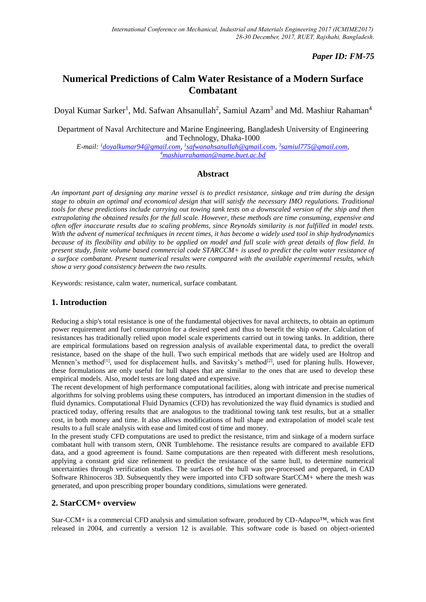# *Paper ID: FM-75*

# **Numerical Predictions of Calm Water Resistance of a Modern Surface Combatant**

Doyal Kumar Sarker<sup>1</sup>, Md. Safwan Ahsanullah<sup>2</sup>, Samiul Azam<sup>3</sup> and Md. Mashiur Rahaman<sup>4</sup>

Department of Naval Architecture and Marine Engineering, Bangladesh University of Engineering and Technology, Dhaka-1000

*E-mail: <sup>1</sup>[doyalkumar94@gmail.com,](mailto:1doyalkumar94@gmail.com)  1 [safwanahsanullah@gmail.com,](mailto:1safwanahsanullah@gmail.com) 3 [samiul775@gmail.com,](mailto:3samiul775@gmail.com) <sup>4</sup>[mashiurrahaman@name.buet.ac.bd](mailto:4mashiurrahaman@name.buet.ac.bd)*

## **Abstract**

*An important part of designing any marine vessel is to predict resistance, sinkage and trim during the design stage to obtain an optimal and economical design that will satisfy the necessary IMO regulations. Traditional tools for these predictions include carrying out towing tank tests on a downscaled version of the ship and then extrapolating the obtained results for the full scale. However, these methods are time consuming, expensive and often offer inaccurate results due to scaling problems, since Reynolds similarity is not fulfilled in model tests. With the advent of numerical techniques in recent times, it has become a widely used tool in ship hydrodynamics because of its flexibility and ability to be applied on model and full scale with great details of flow field. In present study, finite volume based commercial code STARCCM+ is used to predict the calm water resistance of a surface combatant. Present numerical results were compared with the available experimental results, which show a very good consistency between the two results.*

Keywords: resistance, calm water, numerical, surface combatant.

## **1. Introduction**

Reducing a ship's total resistance is one of the fundamental objectives for naval architects, to obtain an optimum power requirement and fuel consumption for a desired speed and thus to benefit the ship owner. Calculation of resistances has traditionally relied upon model scale experiments carried out in towing tanks. In addition, there are empirical formulations based on regression analysis of available experimental data, to predict the overall resistance, based on the shape of the hull. Two such empirical methods that are widely used are Holtrop and Mennen's method<sup>[1]</sup>, used for displacement hulls, and Savitsky's method<sup>[2]</sup>, used for planing hulls. However, these formulations are only useful for hull shapes that are similar to the ones that are used to develop these empirical models. Also, model tests are long dated and expensive.

The recent development of high performance computational facilities, along with intricate and precise numerical algorithms for solving problems using these computers, has introduced an important dimension in the studies of fluid dynamics. Computational Fluid Dynamics (CFD) has revolutionized the way fluid dynamics is studied and practiced today, offering results that are analogous to the traditional towing tank test results, but at a smaller cost, in both money and time. It also allows modifications of hull shape and extrapolation of model scale test results to a full scale analysis with ease and limited cost of time and money.

In the present study CFD computations are used to predict the resistance, trim and sinkage of a modern surface combatant hull with transom stern, ONR Tumblehome*.* The resistance results are compared to available EFD data, and a good agreement is found. Same computations are then repeated with different mesh resolutions, applying a constant grid size refinement to predict the resistance of the same hull, to determine numerical uncertainties through verification studies. The surfaces of the hull was pre-processed and prepared, in CAD Software Rhinoceros 3D. Subsequently they were imported into CFD software StarCCM+ where the mesh was generated, and upon prescribing proper boundary conditions, simulations were generated.

## **2. StarCCM+ overview**

Star-CCM+ is a commercial CFD analysis and simulation software, produced by CD-Adapco™, which was first released in 2004, and currently a version 12 is available. This software code is based on object-oriented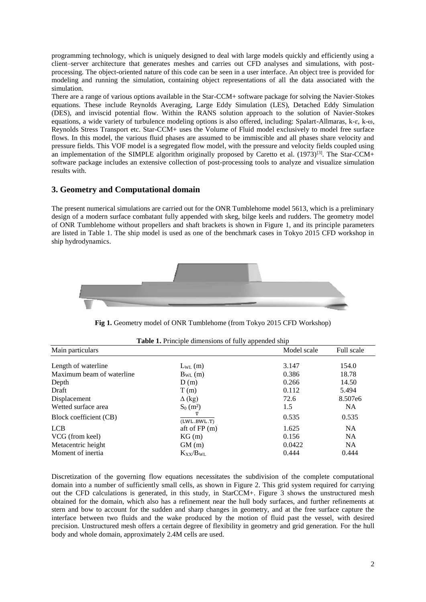programming technology, which is uniquely designed to deal with large models quickly and efficiently using a client–server architecture that generates meshes and carries out CFD analyses and simulations, with postprocessing. The object-oriented nature of this code can be seen in a user interface. An object tree is provided for modeling and running the simulation, containing object representations of all the data associated with the simulation.

There are a range of various options available in the Star-CCM+ software package for solving the Navier-Stokes equations. These include Reynolds Averaging, Large Eddy Simulation (LES), Detached Eddy Simulation (DES), and inviscid potential flow. Within the RANS solution approach to the solution of Navier-Stokes equations, a wide variety of turbulence modeling options is also offered, including: Spalart-Allmaras, k-ɛ, k-ω, Reynolds Stress Transport etc. Star-CCM+ uses the Volume of Fluid model exclusively to model free surface flows. In this model, the various fluid phases are assumed to be immiscible and all phases share velocity and pressure fields. This VOF model is a segregated flow model, with the pressure and velocity fields coupled using an implementation of the SIMPLE algorithm originally proposed by Caretto et al.  $(1973)^{[3]}$ . The Star-CCM+ software package includes an extensive collection of post-processing tools to analyze and visualize simulation results with.

## **3. Geometry and Computational domain**

The present numerical simulations are carried out for the ONR Tumblehome model 5613, which is a preliminary design of a modern surface combatant fully appended with skeg, bilge keels and rudders. The geometry model of ONR Tumblehome without propellers and shaft brackets is shown in Figure 1, and its principle parameters are listed in Table 1. The ship model is used as one of the benchmark cases in Tokyo 2015 CFD workshop in ship hydrodynamics.



**Fig 1.** Geometry model of ONR Tumblehome (from Tokyo 2015 CFD Workshop)

| <b>Table 1.</b> Principle dimensions of fully appended ship |                         |             |            |  |  |  |
|-------------------------------------------------------------|-------------------------|-------------|------------|--|--|--|
| Main particulars                                            |                         | Model scale | Full scale |  |  |  |
| Length of waterline                                         | $L_{WL}(m)$             | 3.147       | 154.0      |  |  |  |
| Maximum beam of waterline                                   | $B_{WL}(m)$             | 0.386       | 18.78      |  |  |  |
| Depth                                                       | D(m)                    | 0.266       | 14.50      |  |  |  |
| Draft                                                       | T(m)                    | 0.112       | 5.494      |  |  |  |
| Displacement                                                | $\Delta$ (kg)           | 72.6        | 8.507e6    |  |  |  |
| Wetted surface area                                         | $S_0$ (m <sup>2</sup> ) | 1.5         | <b>NA</b>  |  |  |  |
| Block coefficient (CB)                                      | ▽<br>(LWL.BWL.T)        | 0.535       | 0.535      |  |  |  |
| <b>LCB</b>                                                  | aft of $FP(m)$          | 1.625       | <b>NA</b>  |  |  |  |
| VCG (from keel)                                             | KG(m)                   | 0.156       | <b>NA</b>  |  |  |  |
| Metacentric height                                          | GM(m)                   | 0.0422      | NA.        |  |  |  |
| Moment of inertia                                           | $K_{XX}/B_{WI}$         | 0.444       | 0.444      |  |  |  |

**Table 1.** Principle dimensions of fully appended ship

Discretization of the governing flow equations necessitates the subdivision of the complete computational domain into a number of sufficiently small cells, as shown in Figure 2. This grid system required for carrying out the CFD calculations is generated, in this study, in StarCCM+. Figure 3 shows the unstructured mesh obtained for the domain, which also has a refinement near the hull body surfaces, and further refinements at stern and bow to account for the sudden and sharp changes in geometry, and at the free surface capture the interface between two fluids and the wake produced by the motion of fluid past the vessel, with desired precision. Unstructured mesh offers a certain degree of flexibility in geometry and grid generation. For the hull body and whole domain, approximately 2.4M cells are used.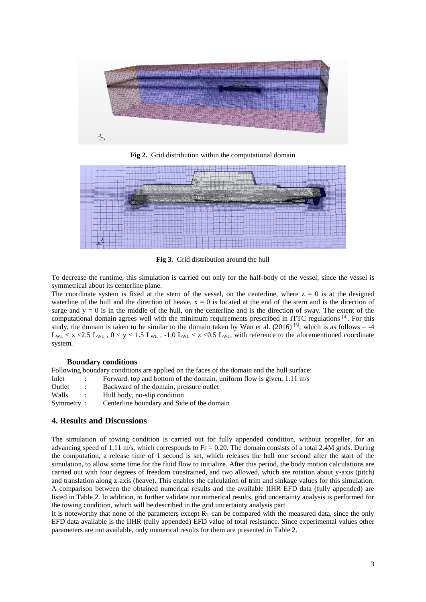

**Fig 2.** Grid distribution within the computational domain



**Fig 3.** Grid distribution around the hull

To decrease the runtime, this simulation is carried out only for the half-body of the vessel, since the vessel is symmetrical about its centerline plane.

The coordinate system is fixed at the stern of the vessel, on the centerline, where  $z = 0$  is at the designed waterline of the hull and the direction of heave,  $x = 0$  is located at the end of the stern and is the direction of surge and  $y = 0$  is in the middle of the hull, on the centerline and is the direction of sway. The extent of the computational domain agrees well with the minimum requirements prescribed in ITTC regulations [4]. For this study, the domain is taken to be similar to the domain taken by Wan et al. (2016) <sup>[5]</sup>, which is as follows  $-4$  $L_{WL}$  < x <2.5  $L_{WL}$ , 0 < y < 1.5  $L_{WL}$ , -1.0  $L_{WL}$  < z <0.5  $L_{WL}$ , with reference to the aforementioned coordinate system.

#### **Boundary conditions**

Following boundary conditions are applied on the faces of the domain and the hull surface: Inlet : Forward, top and bottom of the domain, uniform flow is given, 1.11 m/s Outlet : Backward of the domain, pressure outlet Walls : Hull body, no-slip condition Symmetry : Centerline boundary and Side of the domain

## **4. Results and Discussions**

The simulation of towing condition is carried out for fully appended condition, without propeller, for an advancing speed of 1.11 m/s, which corresponds to  $Fr = 0.20$ . The domain consists of a total 2.4M grids. During the computation, a release time of 1 second is set, which releases the hull one second after the start of the simulation, to allow some time for the fluid flow to initialize. After this period, the body motion calculations are carried out with four degrees of freedom constrained, and two allowed, which are rotation about y-axis (pitch) and translation along z-axis (heave). This enables the calculation of trim and sinkage values for this simulation. A comparison between the obtained numerical results and the available IIHR EFD data (fully appended) are listed in Table 2. In addition, to further validate our numerical results, grid uncertainty analysis is performed for the towing condition, which will be described in the grid uncertainty analysis part.

It is noteworthy that none of the parameters except  $R<sub>T</sub>$  can be compared with the measured data, since the only EFD data available is the IIHR (fully appended) EFD value of total resistance. Since experimental values other parameters are not available, only numerical results for them are presented in Table 2.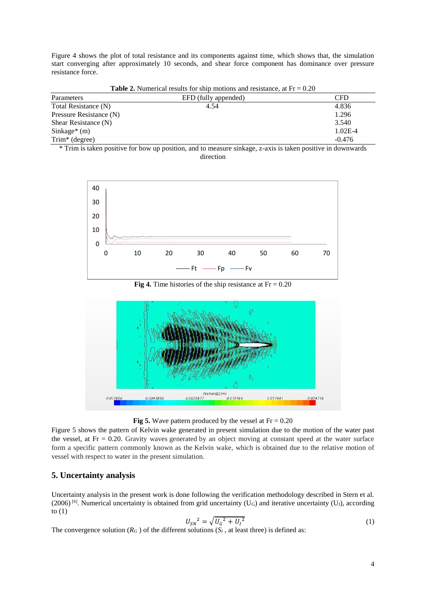Figure 4 shows the plot of total resistance and its components against time, which shows that, the simulation start converging after approximately 10 seconds, and shear force component has dominance over pressure resistance force.

| Parameters                                                                                              | EFD (fully appended)                | CFD         |
|---------------------------------------------------------------------------------------------------------|-------------------------------------|-------------|
| Total Resistance (N)                                                                                    | 4.54                                | 4.836       |
| Pressure Resistance (N)                                                                                 |                                     | 1.296       |
| Shear Resistance (N)                                                                                    |                                     | 3.540       |
| Sinkage $*(m)$                                                                                          |                                     | $1.02E - 4$ |
| $Trim*$ (degree)                                                                                        |                                     | $-0.476$    |
| $\mathbf{a}$ , and $\mathbf{b}$ and $\mathbf{c}$ and $\mathbf{c}$ and $\mathbf{c}$<br>$\cdots$ $\cdots$ | $\cdot$ . $\cdot$<br>$\blacksquare$ | .<br>.      |

**Table 2.** Numerical results for ship motions and resistance, at  $Fr = 0.20$ 

\* Trim is taken positive for bow up position, and to measure sinkage, z-axis is taken positive in downwards direction



**Fig 4.** Time histories of the ship resistance at  $Fr = 0.20$ 



**Fig 5.** Wave pattern produced by the vessel at  $Fr = 0.20$ 

Figure 5 shows the pattern of Kelvin wake generated in present simulation due to the motion of the water past the vessel, at  $Fr = 0.20$ . Gravity waves generated by an object moving at constant speed at the water surface form a specific pattern commonly known as the Kelvin wake, which is obtained due to the relative motion of vessel with respect to water in the present simulation.

## **5. Uncertainty analysis**

Uncertainty analysis in the present work is done following the verification methodology described in Stern et al.  $(2006)$  [6]. Numerical uncertainty is obtained from grid uncertainty (U<sub>G</sub>) and iterative uncertainty (U<sub>I</sub>), according to  $(1)$ 

$$
U_{SN}^2 = \sqrt{U_G^2 + U_I^2} \tag{1}
$$

The convergence solution ( $R_G$ ) of the different solutions ( $S_i$ , at least three) is defined as: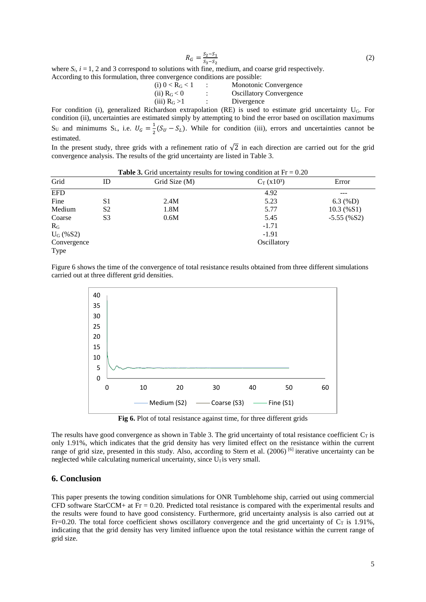$$
R_G = \frac{S_2 - S_1}{S_3 - S_2} \tag{2}
$$

where  $S_i$ ,  $i = 1, 2$  and 3 correspond to solutions with fine, medium, and coarse grid respectively. According to this formulation, three convergence conditions are possible:

| (i) $0 < R_G < 1$           | Monotonic Convergence          |
|-----------------------------|--------------------------------|
| $(ii)$ R <sub>G</sub> $<$ 0 | <b>Oscillatory Convergence</b> |
| $(iii)$ R <sub>G</sub> $>1$ | Divergence                     |

For condition (i), generalized Richardson extrapolation (RE) is used to estimate grid uncertainty UG. For condition (ii), uncertainties are estimated simply by attempting to bind the error based on oscillation maximums  $S_U$  and minimums  $S_L$ , i.e.  $U_G = \frac{1}{2}$  $\frac{1}{2}(S_U - S_L)$ . While for condition (iii), errors and uncertainties cannot be estimated.

In the present study, three grids with a refinement ratio of  $\sqrt{2}$  in each direction are carried out for the grid convergence analysis. The results of the grid uncertainty are listed in Table 3.

| <b>Table 3.</b> Grid uncertainty results for towing condition at $Fr = 0.20$ |                |               |              |               |  |
|------------------------------------------------------------------------------|----------------|---------------|--------------|---------------|--|
| Grid                                                                         | ID             | Grid Size (M) | $C_T(x10^3)$ | Error         |  |
| <b>EFD</b>                                                                   |                |               | 4.92         |               |  |
| Fine                                                                         | S1             | 2.4M          | 5.23         | $6.3 \ (\%D)$ |  |
| Medium                                                                       | S <sub>2</sub> | 1.8M          | 5.77         | 10.3(%S1)     |  |
| Coarse                                                                       | S <sub>3</sub> | 0.6M          | 5.45         | $-5.55$ (%S2) |  |
| $R_G$                                                                        |                |               | $-1.71$      |               |  |
| $U_{G}$ (%S2)                                                                |                |               | $-1.91$      |               |  |
| Convergence                                                                  |                |               | Oscillatory  |               |  |
| Type                                                                         |                |               |              |               |  |

Figure 6 shows the time of the convergence of total resistance results obtained from three different simulations carried out at three different grid densities.



**Fig 6.** Plot of total resistance against time, for three different grids

The results have good convergence as shown in Table 3. The grid uncertainty of total resistance coefficient  $C_T$  is only 1.91%, which indicates that the grid density has very limited effect on the resistance within the current range of grid size, presented in this study. Also, according to Stern et al. (2006) [6] iterative uncertainty can be neglected while calculating numerical uncertainty, since  $U<sub>I</sub>$  is very small.

### **6. Conclusion**

This paper presents the towing condition simulations for ONR Tumblehome ship, carried out using commercial CFD software StarCCM+ at Fr = 0.20. Predicted total resistance is compared with the experimental results and the results were found to have good consistency. Furthermore, grid uncertainty analysis is also carried out at Fr=0.20. The total force coefficient shows oscillatory convergence and the grid uncertainty of  $C_T$  is 1.91%, indicating that the grid density has very limited influence upon the total resistance within the current range of grid size.